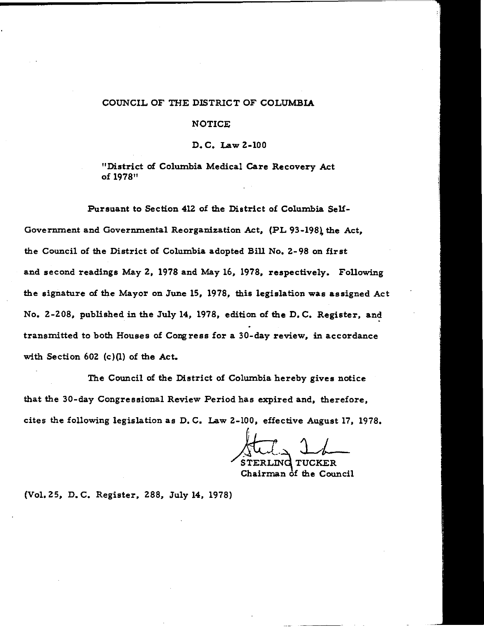### COUNCIL OF THE DISTRICT OF COLUMBIA

#### NOTICE

D. C. Law Z-100

"District of Columbia Medical Care Recovery Act of 1978"

Pursuant to Section 41Z of the District of Columbia Self-Government and Governmental Reorganization Act, (PL 93-198) the Act, the Council of the District of Colwnbia adopted Bill No. Z-98 on first and second readings May Z, 1978 and May 16, 1978, respectively. Following the signature of the Mayor on June 15, 1978, this legislation was assigned Act No. 2-208, published in the July 14, 1978, edition of the D.C. Register, and transmitted to both Houses of Congress for a 30-day review, in accordance with Section 60Z (c)(l) of the Act.

The Council of the District of Columbia hereby gives notice that the 30-day Congressional Review Period has expired and, therefore, cites the following legislation as D. C. Law Z-100, effective August 17, 1978.

 $~\rm{rman}$  of the Council

(Vol. ZS, D. C. Register, Z88, July 14, 1978)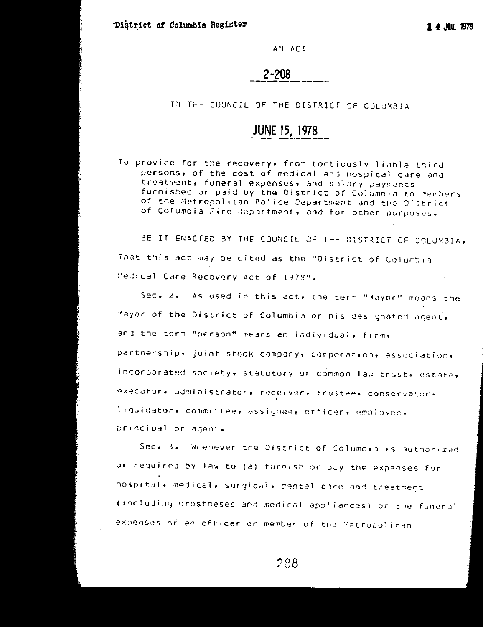District of Columbia Register

1 4 JUL 1978

AN ACT

 $2 - 208$ 

IN THE COUNCIL OF THE DISTRICT OF CULUMBIA

# JUNE 15, 1978

To provide for the recovery, from tortiously liable third persons, of the cost of medical and hospital care and treatment, funeral expenses, and salary payments furnished or paid by the District of Columbia to members of the Metropolitan Police Department and the District of Columbia Fire Department, and for other purposes.

BE IT ENACTED BY THE COUNCIL OF THE DISTRICT OF COLUMBIA, That this act may be cited as the "District of Columbia Medical Care Recovery Act of 1978".

Sec.  $2.$ As used in this act, the term "Mayor" means the Mayor of the District of Columbia or his designated agent, and the term "person" means an individual, firm, partnership+ joint stock company+ corporation+ association+ incorporated society, statutory or common law trust, estate, executor, administrator, receiver, trustee, conservator, liquidator, committee, assignee, officer, employee, principal or agent.

Sec. 3. Whenever the District of Columbia is authorized or required by law to (a) furnish or pay the expenses for hospital, medical, surgical, dental care and treatment (including prostheses and medical appliances) or the funeral expenses of an officer or member of the Metropolitan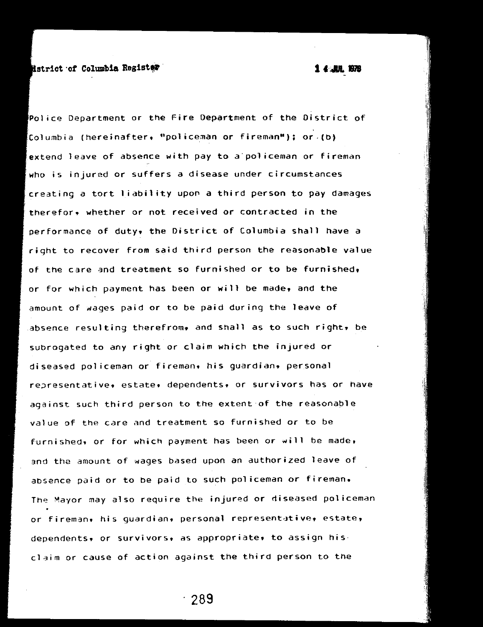### **strict** of Columbia Register, **and the columbia Resister**, *14 <u>ARB</u> 378*

Police Department or the Fire Department of the District of Columbia (hereinafter, ''policeman or fireman"); or.(b) extend leave of absence with pay to a policeman or fireman who is injured or suffers a disease under circumstances creating a tort liability upon *a* third person to pay damages therefor. whether or not received or contracted in the performance of duty, the District of Columbia shall have a right to recover from said third person the reasonable value of the care and treatment so furnished or to be furnished, or for which payment has been or will be made, and the amount of wages paid or to be paid during the leave of absence resulting therefrom, and shall as to such right, be subrogated to any right or claim which the injured or diseased policeman or fireman. his guardian. personal representative. estate. dependents. or survivors has or have against such third person to the extent of the reasonable value of the care and treatment so furnished or to be furnished, or for which payment has been or will be made, and the amount of wages based upon an authorized leave of absence paid or to be paid to such policeman or fireman. The Mayor may also require the injured or diseased policeman or fireman. his guardian. personal representative. estate, dependents, or survivors, as appropriate, to assign hisclaim or cause of action against the third person to the

. 289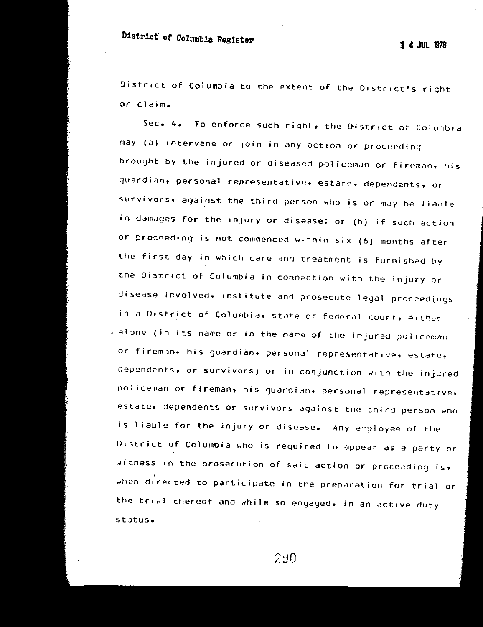# **nistrict' of Columbia** Registe~ **1** *4* **JUL <sup>1978</sup>**

District of Columbia to the extent of the District's right *or* **claim.** 

**Sec. 4.** To enforce such right, the D·istrict of Columbia may (a) intervene or join in any action or proceeding brought by the injured or diseased policenan or fireman, his guardian, personal representative, estate. dependents, or survivors, against the third person who is or may be liable in damages for the injury or disease; or (b) if such action or proceeding is not commenced within six (6) months after the first day in which care and treatment is furnished by the District of Columbia in connection with the injury or disease involved, institute and prosecute legal proceedings in a District of Columbia, state or federal court, either al one (in its name or in the name of the injured policeman or fireman, his guardian, personal representative, estate, dependents, or survivors} or in conjunction with the injured policeman or fireman, his guardian, personal representative, estate, dependents or survivors against the third person who is liable for the injury or disease. Any employee of the District of Columbia who is required to appear as a party or witness in the prosecution of said action or proceeding is $\overline{r}$ when directed to participate in the preparation for trial or the trial thereof and while so engaged, in an active duty status.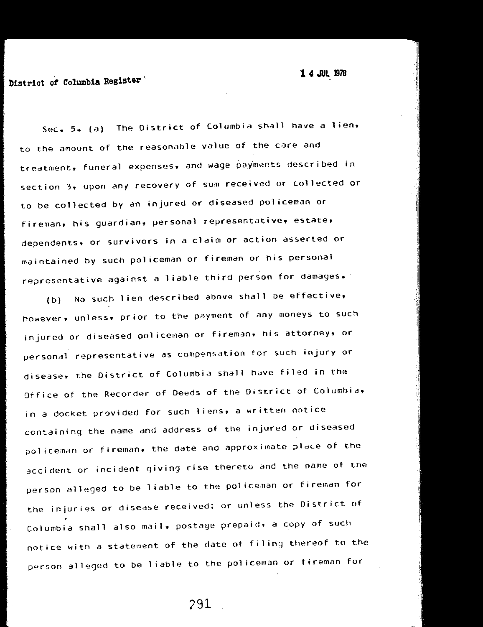## **District of Columbia Register**

Sec. 5. (a) The District of Columbia shall have a lien. to the amount of the reasonable value of the care and treatment, funeral expenses, and wage payments described in section 3. upon any recovery of sum received or collected or to be collected by an injured or diseased policeman or fireman, his guardian, personal representative, estate, dependents, or survivors in a claim or action asserted or maintained by such policeman or fireman or his personal representative against a liable third person for damages.

(b) No such lien described above shall oe effective, however. unless, prior to the payment of any moneys to such injured or diseased policeman or fireman. his attorney, or personal representative as compensation for such injury or disease, the District of Columbia shall have filed in the Otfice of the Recorder of Deeds of the District of Columbia, in a docket provided for such liens, a written notice containing the name and address of the injured or diseased policeman or fireman, the date and approximate place of the accident or incident giving rise thereto and the name of the person alleged to be 1 iable to the policeman or fireman for the injuries or disease received; or unless the District of Columbia snall also mail, postage prepaid, a copy of such notice witn a statement of the date of filing thereof to the person alleged to be 1 iable to the pol iceman or fireman for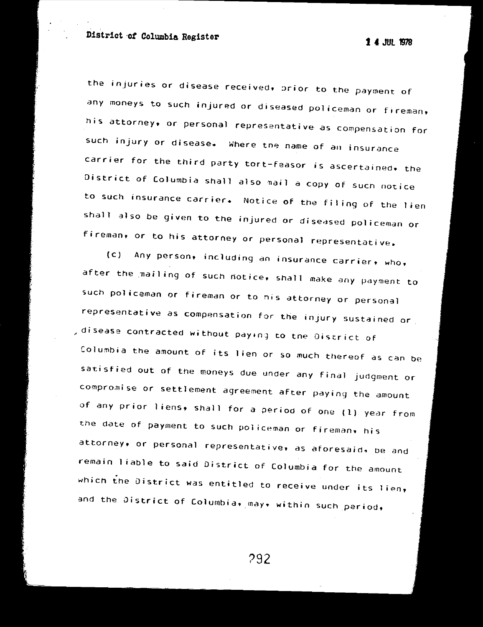**District of Columbia Register 14 JUL 1978** 

the injuries or disease received, orior to the payment of any moneys to such injured or diseased policeman or fireman, his attorney, or personal representative as compensation for such injury or disease. Where tne name of an insurance carrier for the third party tort-feasor is ascertained. the District of Columbia shall also nail a copy of sucn notice to such insurance carrier. Notice of the filing of the lien shall also be given to the injured or diseased policeman or fireman, or to his attorney or personal representative.

{c) Any person, including an insurance carrier, who, after the .nailing of such notice, shall make any payment to such policeman or fireman or to nis attorney or personal representative as compensation for the injury sustained or , disease contracted without pay1n1 to tne District of Columbia the amount of its lien or so much thereof as can be satisfied out of the moneys due under any final judgment or compromise or settlement agreement after paying the amount of any prior 1 iens, shall for a period of one (l) year from the date of payment to such policeman or fireman, his attorney, or personal representative, as aforesaid, De and remain liable to said District of Columbia for the amount which the District was entitled to receive under its lien,  $\rule{1em}{0.15mm}$ and the District of Columbia, may, within such period,

?92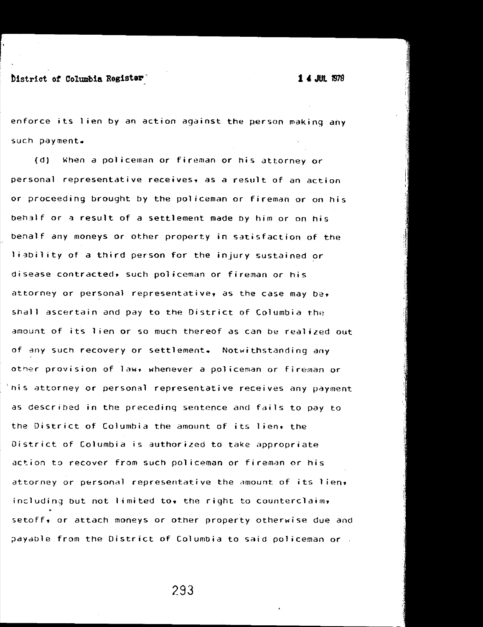~istrict **of Columbia Register' 1** *4* **JUL 1978** 

enforce its 1 ien by an action against the person making any such payment.

(d) When a policeman or fireman or his attorney or personal representative receives, as a result of an action or proceeding brought by the policeman or fireman or on his Deh3lf or a result of a settlement made by him or on his Denalf any moneys or other property in satisfaction of the liability of a third person for the injury sustained or disease contracted, such policeman or fireman or his attorney or personal representative, as the case may be. shall ascertain and pay to the District of Columbia the amount of its lien or so much thereof as can be realized out of any such recovery or settlement. Notwithstanding any other provision of law. whenever a policeman or fireman or his attorney or personal representative receives any payment as described in the preceding sentence and fails to pay to the District of Columbia the amount of its lien. the District of Columbia is authorized to take appropriate action to recover from such policeman or fireman or his attorney or personal representative the amount of its lien• including but not limited to, the right to counterclaim, setoff, or attach moneys or other property otherwise due and payable from the District of Columbia to said policeman or .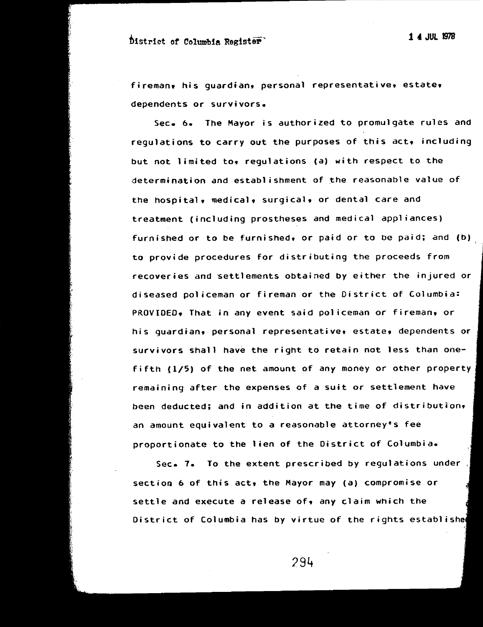## tistrict of Columbia Register' **1** *4* **JUL 1978**

fireman, his quardian, personal representative, estate, dependents or survivors.

Sec. 6. The Mayor is authorized to promulgate rules and regulations to carry out the purposes of this act, including but not limited to, requlations (a) with respect to the determination and establishment of the reasonable value of the hospital, medical, surgical, or dental care and treatment (including prostheses and medical appliances) furnished or to be furnished, or paid or to be paid; and  $(b)$ to provide procedures for distributing the proceeds from recoveries and settlements obtained by either the injured or diseased policeman or fireman or the District of Columbia: PROVIDED, That in any event said policeman or fireman, or his guardian, personal representative, estate, dependents or survivors shall have the right to retain not less than onefifth (1/5) of the net amount of any money or other property remaining after the expenses of a suit or settlement have been deducted; and in addition at the time of distribution. an amount equivalent to a reasonable attorney's fee proportionate to the lien of the District of Columbia.

Sec. 7. To the extent prescribed by regulations under section 6 of this act, the Mayor may (a) compromise or settle and execute a release of, any claim which the District of Columbia has by virtue of the rights establishe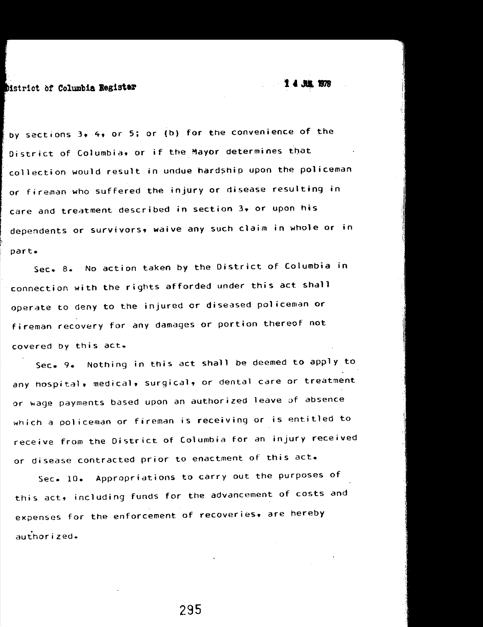bistrict of **Columbia Register** 

by sections  $3 \cdot 4 \cdot 0$ r 5; or (b) for the convenience of the District of Columbia. or if the Mayor determines that collection would result in undue hardship upon the policeman or fireman who suffered the injury or disease resulting in care and treatment described in section 3, or upon his dependents or survivors, waive any such claim in whole or in part.

Sec. 8. No action taken by the District of Columbia in connection with the rights afforded under this act shall operate to deny to the injured or diseased policeman or fireman recovery for any damages or portion thereof not covered by this act.

**Sec. 9.** Nothing in this act shall be deemed to apply to any hospital. medical. surgical. or dental care or treatment or wage payments based upon an authorized leave of absence which a policeman or fireman is receiving or is entitled to receive from the District of Columbia for an injury received or disease contracted prior to enactment of this act.

Sec. 10. Appropriations to carry out the purposes of this act, including funds for the advancement of costs and expenses for the enforcement of recoveries. are hereby authorized.